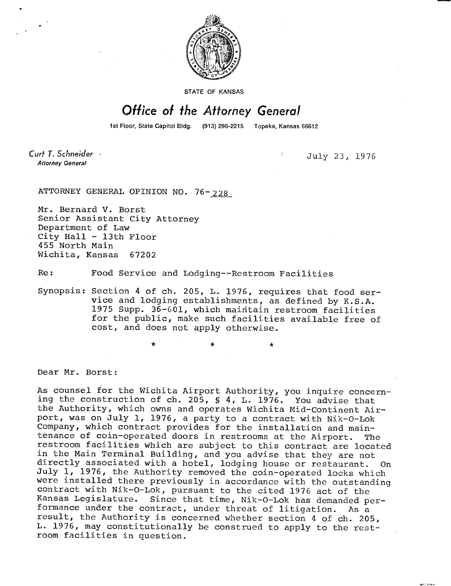

**STATE OF KANSAS** 

## Office of the Attorney General

1st Floor, State Capitol Bldg. (913) 296-2215 Topeka, Kansas 66612

Curt T. Schneider **Attorney General** 

July 23, 1976

ATTORNEY GENERAL OPINION NO. 76-228

Mr. Bernard V. Borst Senior Assistant City Attorney Department of Law City Hall - 13th Floor 455 North Main Wichita, Kansas 67202

Re: Food Service and Lodging--Restroom Facilities

Synopsis: Section 4 of ch. 205, L. 1976, requires that food service and lodging establishments, as defined by K.S.A. 1975 Supp. 36-601, which maintain restroom facilities for the public, make such facilities available free of cost, and does not apply otherwise.

\* \*

Dear Mr. Borst:

As counsel for the Wichita Airport Authority, you inquire concerning the construction of ch. 205, § 4, L. 1976. You advise that the Authority, which owns and operates Wichita Mid-Continent Airport, was on July 1, 1976, a party to a contract with Nik-O-Lok Company, which contract provides for the installation and maintenance of coin-operated doors in restrooms at the Airport. The restroom facilities which are subject to this contract are located in the Main Terminal Building, and you advise that they are not directly associated with a hotel, lodging house or restaurant. On July 1, 1976, the Authority removed the coin-operated locks which were installed there previously in accordance with the outstanding contract with Nik-O-Lok, pursuant to the cited 1976 act of the Kansas Legislature. Since that time, Nik-O-Lok has demanded performance under the contract, under threat of litigation. As a result, the Authority is concerned whether section 4 of ch. 205, L. 1976, may constitutionally be construed to apply to the restroom facilities in question.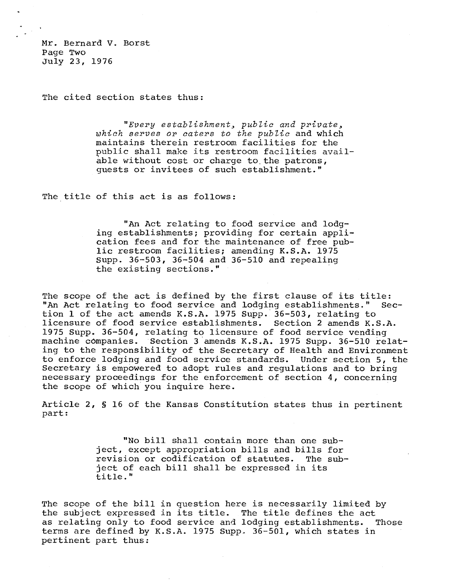Mr. Bernard V. Borst Page Two July 23, 1976

The cited section states thus:

"Every establishment, public and private, which serves or caters to the public and which maintains therein restroom facilities for the public shall make its restroom facilities available without cost or charge to. the patrons, guests or invitees of such establishment."

The title of this act is as follows:

"An Act relating to food service and lodging establishments; providing for certain application fees and for the maintenance of free public restroom facilities; amending K.S.A. 1975 Supp. 36-503, 36-504 and 36-510 and repealing the existing sections."

The scope of the act is defined by the first clause of its title: "An Act relating to food service and lodging establishments." Section 1 of the act amends K.S.A. 1975 Supp. 36-503, relating to licensure of food service establishments. Section 2 amends K.S.A. 1975 Supp. 36-504, relating to licensure of food service vending machine companies. Section 3 amends K.S.A. 1975 Supp. 36-510 relating to the responsibility of the Secretary of Health and Environment to enforce lodging and food service standards. Under section 5, the Secretary is empowered to adopt rules and regulations and to bring necessary proceedings for the enforcement of section 4, concerning the scope of which you inquire here.

Article 2, § 16 of the Kansas Constitution states thus in pertinent part:

> "No bill shall contain more than one subject, except appropriation bills and bills for revision or codification of statutes. The subject of each bill shall be expressed in its title."

The scope of the bill in question here is necessarily limited by the subject expressed in its title. The title defines the act as relating only to food service and lodging establishments. Those terms are defined by K.S.A. 1975 Supp.. 36-501, which states in pertinent part thus: